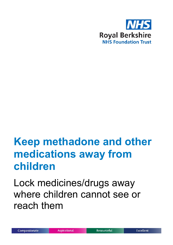

# **Keep methadone and other medications away from children**

Lock medicines/drugs away where children cannot see or reach them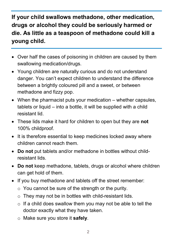## **If your child swallows methadone, other medication, drugs or alcohol they could be seriously harmed or die. As little as a teaspoon of methadone could kill a young child.**

- Over half the cases of poisoning in children are caused by them swallowing medication/drugs.
- Young children are naturally curious and do not understand danger. You can't expect children to understand the difference between a brightly coloured pill and a sweet, or between methadone and fizzy pop.
- When the pharmacist puts your medication whether capsules, tablets or liquid – into a bottle, it will be supplied with a child resistant lid.
- These lids make it hard for children to open but they are **not** 100% childproof.
- It is therefore essential to keep medicines locked away where children cannot reach them.
- **Do not** put tablets and/or methadone in bottles without childresistant lids.
- **Do not** keep methadone, tablets, drugs or alcohol where children can get hold of them.
- If you buy methadone and tablets off the street remember:
	- $\circ$  You cannot be sure of the strength or the purity.
	- o They may not be in bottles with child-resistant lids.
	- $\circ$  If a child does swallow them you may not be able to tell the doctor exactly what they have taken.
	- o Make sure you store it **safely**.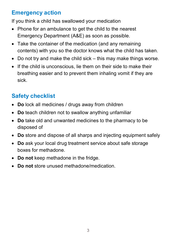#### **Emergency action**

If you think a child has swallowed your medication

- Phone for an ambulance to get the child to the nearest Emergency Department (A&E) as soon as possible.
- Take the container of the medication (and any remaining contents) with you so the doctor knows what the child has taken.
- Do not try and make the child sick this may make things worse.
- If the child is unconscious, lie them on their side to make their breathing easier and to prevent them inhaling vomit if they are sick.

# **Safety checklist**

- **Do** lock all medicines / drugs away from children
- **Do** teach children not to swallow anything unfamiliar
- **Do** take old and unwanted medicines to the pharmacy to be disposed of
- **Do** store and dispose of all sharps and injecting equipment safely
- **Do** ask your local drug treatment service about safe storage boxes for methadone.
- **Do not** keep methadone in the fridge.
- **Do not** store unused methadone/medication.